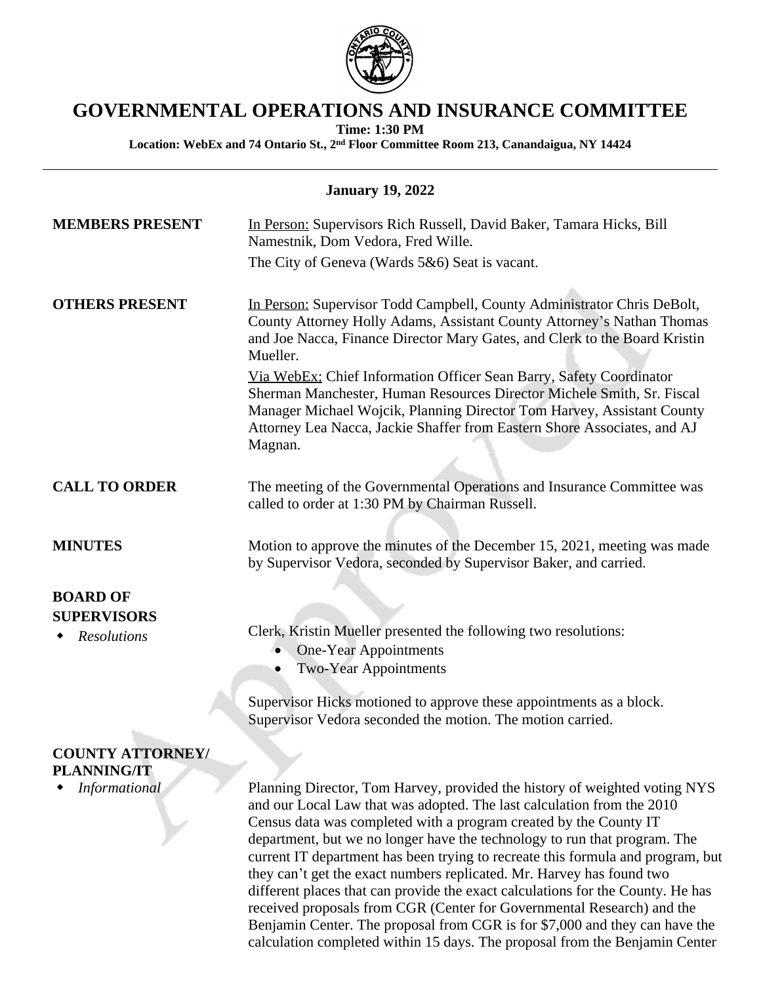

## **GOVERNMENTAL OPERATIONS AND INSURANCE COMMITTEE**

**Time: 1:30 PM**

**Location: WebEx and 74 Ontario St., 2nd Floor Committee Room 213, Canandaigua, NY 14424**

| <b>January 19, 2022</b>                  |                                                                                                                                                                                                                                                                                                                |  |
|------------------------------------------|----------------------------------------------------------------------------------------------------------------------------------------------------------------------------------------------------------------------------------------------------------------------------------------------------------------|--|
| <b>MEMBERS PRESENT</b>                   | In Person: Supervisors Rich Russell, David Baker, Tamara Hicks, Bill<br>Namestnik, Dom Vedora, Fred Wille.                                                                                                                                                                                                     |  |
|                                          | The City of Geneva (Wards 5&6) Seat is vacant.                                                                                                                                                                                                                                                                 |  |
| <b>OTHERS PRESENT</b>                    | In Person: Supervisor Todd Campbell, County Administrator Chris DeBolt,<br>County Attorney Holly Adams, Assistant County Attorney's Nathan Thomas<br>and Joe Nacca, Finance Director Mary Gates, and Clerk to the Board Kristin<br>Mueller.                                                                    |  |
|                                          | Via WebEx: Chief Information Officer Sean Barry, Safety Coordinator<br>Sherman Manchester, Human Resources Director Michele Smith, Sr. Fiscal<br>Manager Michael Wojcik, Planning Director Tom Harvey, Assistant County<br>Attorney Lea Nacca, Jackie Shaffer from Eastern Shore Associates, and AJ<br>Magnan. |  |
| <b>CALL TO ORDER</b>                     | The meeting of the Governmental Operations and Insurance Committee was<br>called to order at 1:30 PM by Chairman Russell.                                                                                                                                                                                      |  |
| <b>MINUTES</b>                           | Motion to approve the minutes of the December 15, 2021, meeting was made<br>by Supervisor Vedora, seconded by Supervisor Baker, and carried.                                                                                                                                                                   |  |
| <b>BOARD OF</b>                          |                                                                                                                                                                                                                                                                                                                |  |
| <b>SUPERVISORS</b><br><b>Resolutions</b> | Clerk, Kristin Mueller presented the following two resolutions:<br><b>One-Year Appointments</b><br><b>Two-Year Appointments</b>                                                                                                                                                                                |  |
|                                          | Supervisor Hicks motioned to approve these appointments as a block.<br>Supervisor Vedora seconded the motion. The motion carried.                                                                                                                                                                              |  |
| <b>COUNTY ATTORNEY/</b>                  |                                                                                                                                                                                                                                                                                                                |  |

**PLANNING/IT**

 *Informational* Planning Director, Tom Harvey, provided the history of weighted voting NYS and our Local Law that was adopted. The last calculation from the 2010 Census data was completed with a program created by the County IT department, but we no longer have the technology to run that program. The current IT department has been trying to recreate this formula and program, but they can't get the exact numbers replicated. Mr. Harvey has found two different places that can provide the exact calculations for the County. He has received proposals from CGR (Center for Governmental Research) and the Benjamin Center. The proposal from CGR is for \$7,000 and they can have the calculation completed within 15 days. The proposal from the Benjamin Center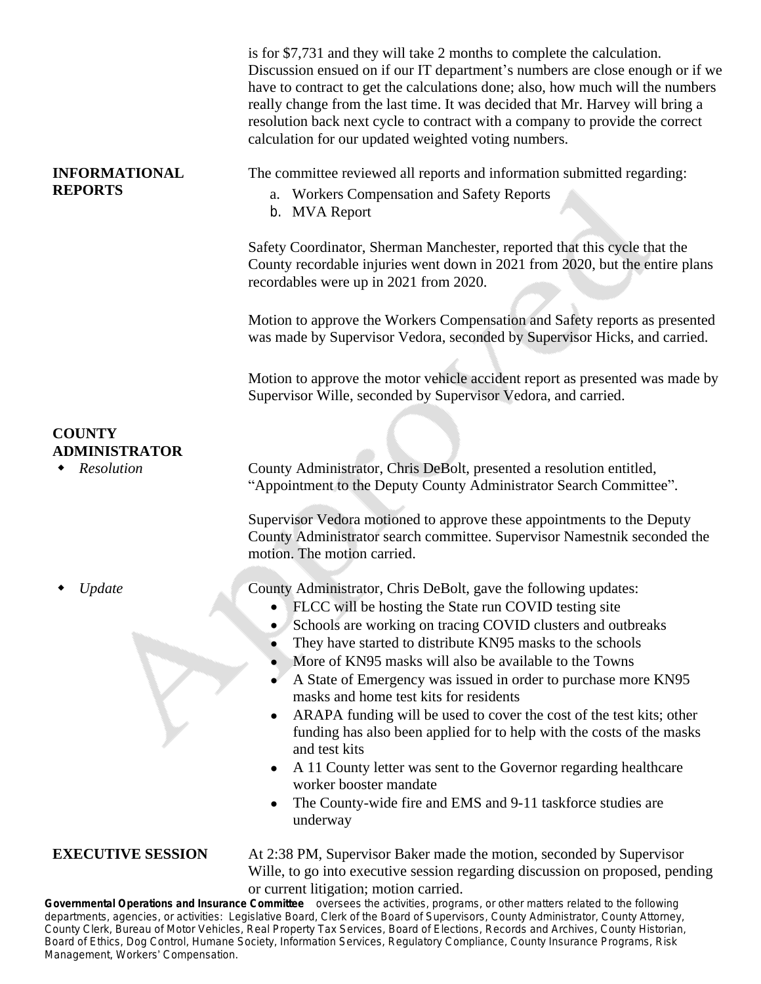|                                                     | is for \$7,731 and they will take 2 months to complete the calculation.<br>Discussion ensued on if our IT department's numbers are close enough or if we<br>have to contract to get the calculations done; also, how much will the numbers<br>really change from the last time. It was decided that Mr. Harvey will bring a<br>resolution back next cycle to contract with a company to provide the correct<br>calculation for our updated weighted voting numbers.                                                                                                                                                                                                                                                                                                   |
|-----------------------------------------------------|-----------------------------------------------------------------------------------------------------------------------------------------------------------------------------------------------------------------------------------------------------------------------------------------------------------------------------------------------------------------------------------------------------------------------------------------------------------------------------------------------------------------------------------------------------------------------------------------------------------------------------------------------------------------------------------------------------------------------------------------------------------------------|
| <b>INFORMATIONAL</b><br><b>REPORTS</b>              | The committee reviewed all reports and information submitted regarding:<br>a. Workers Compensation and Safety Reports<br>b. MVA Report                                                                                                                                                                                                                                                                                                                                                                                                                                                                                                                                                                                                                                |
|                                                     | Safety Coordinator, Sherman Manchester, reported that this cycle that the<br>County recordable injuries went down in 2021 from 2020, but the entire plans<br>recordables were up in 2021 from 2020.                                                                                                                                                                                                                                                                                                                                                                                                                                                                                                                                                                   |
|                                                     | Motion to approve the Workers Compensation and Safety reports as presented<br>was made by Supervisor Vedora, seconded by Supervisor Hicks, and carried.                                                                                                                                                                                                                                                                                                                                                                                                                                                                                                                                                                                                               |
|                                                     | Motion to approve the motor vehicle accident report as presented was made by<br>Supervisor Wille, seconded by Supervisor Vedora, and carried.                                                                                                                                                                                                                                                                                                                                                                                                                                                                                                                                                                                                                         |
| <b>COUNTY</b><br><b>ADMINISTRATOR</b><br>Resolution | County Administrator, Chris DeBolt, presented a resolution entitled,<br>"Appointment to the Deputy County Administrator Search Committee".                                                                                                                                                                                                                                                                                                                                                                                                                                                                                                                                                                                                                            |
|                                                     | Supervisor Vedora motioned to approve these appointments to the Deputy<br>County Administrator search committee. Supervisor Namestnik seconded the<br>motion. The motion carried.                                                                                                                                                                                                                                                                                                                                                                                                                                                                                                                                                                                     |
| Update                                              | County Administrator, Chris DeBolt, gave the following updates:<br>FLCC will be hosting the State run COVID testing site<br>Schools are working on tracing COVID clusters and outbreaks<br>They have started to distribute KN95 masks to the schools<br>More of KN95 masks will also be available to the Towns<br>A State of Emergency was issued in order to purchase more KN95<br>masks and home test kits for residents<br>ARAPA funding will be used to cover the cost of the test kits; other<br>funding has also been applied for to help with the costs of the masks<br>and test kits<br>A 11 County letter was sent to the Governor regarding healthcare<br>worker booster mandate<br>The County-wide fire and EMS and 9-11 taskforce studies are<br>underway |
| <b>EXECUTIVE SESSION</b>                            | At 2:38 PM, Supervisor Baker made the motion, seconded by Supervisor<br>Wille, to go into executive session regarding discussion on proposed, pending<br>or current litigation; motion carried.                                                                                                                                                                                                                                                                                                                                                                                                                                                                                                                                                                       |
|                                                     | Governmental Operations and Insurance Committee oversees the activities, programs, or other matters related to the following                                                                                                                                                                                                                                                                                                                                                                                                                                                                                                                                                                                                                                          |

departments, agencies, or activities: *Legislative Board, Clerk of the Board of Supervisors, County Administrator, County Attorney, County Clerk, Bureau of Motor Vehicles, Real Property Tax Services, Board of Elections, Records and Archives, County Historian, Board of Ethics, Dog Control, Humane Society, Information Services, Regulatory Compliance, County Insurance Programs, Risk Management, Workers*' *Compensation.*